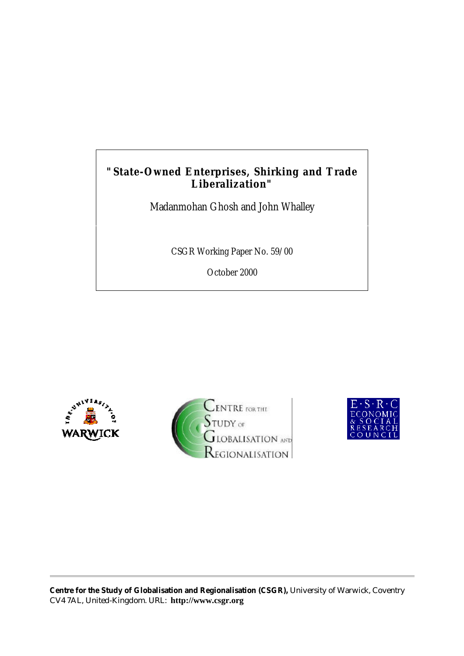## **"State-Owned Enterprises, Shirking and Trade Liberalization"**

Madanmohan Ghosh and John Whalley

CSGR Working Paper No. 59/00

October 2000





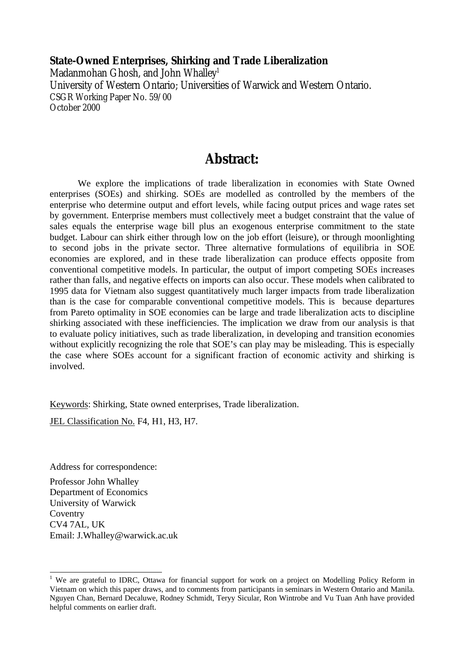**State-Owned Enterprises, Shirking and Trade Liberalization** Madanmohan Ghosh, and John Whalley<sup>1</sup> University of Western Ontario; Universities of Warwick and Western Ontario. CSGR Working Paper No. 59/00 October 2000

# **Abstract:**

We explore the implications of trade liberalization in economies with State Owned enterprises (SOEs) and shirking. SOEs are modelled as controlled by the members of the enterprise who determine output and effort levels, while facing output prices and wage rates set by government. Enterprise members must collectively meet a budget constraint that the value of sales equals the enterprise wage bill plus an exogenous enterprise commitment to the state budget. Labour can shirk either through low on the job effort (leisure), or through moonlighting to second jobs in the private sector. Three alternative formulations of equilibria in SOE economies are explored, and in these trade liberalization can produce effects opposite from conventional competitive models. In particular, the output of import competing SOEs increases rather than falls, and negative effects on imports can also occur. These models when calibrated to 1995 data for Vietnam also suggest quantitatively much larger impacts from trade liberalization than is the case for comparable conventional competitive models. This is because departures from Pareto optimality in SOE economies can be large and trade liberalization acts to discipline shirking associated with these inefficiencies. The implication we draw from our analysis is that to evaluate policy initiatives, such as trade liberalization, in developing and transition economies without explicitly recognizing the role that SOE's can play may be misleading. This is especially the case where SOEs account for a significant fraction of economic activity and shirking is involved.

Keywords: Shirking, State owned enterprises, Trade liberalization.

JEL Classification No. F4, H1, H3, H7.

Address for correspondence:

 $\overline{a}$ 

Professor John Whalley Department of Economics University of Warwick **Coventry** CV4 7AL, UK Email: J.Whalley@warwick.ac.uk

<sup>&</sup>lt;sup>1</sup> We are grateful to IDRC, Ottawa for financial support for work on a project on Modelling Policy Reform in Vietnam on which this paper draws, and to comments from participants in seminars in Western Ontario and Manila. Nguyen Chan, Bernard Decaluwe, Rodney Schmidt, Teryy Sicular, Ron Wintrobe and Vu Tuan Anh have provided helpful comments on earlier draft.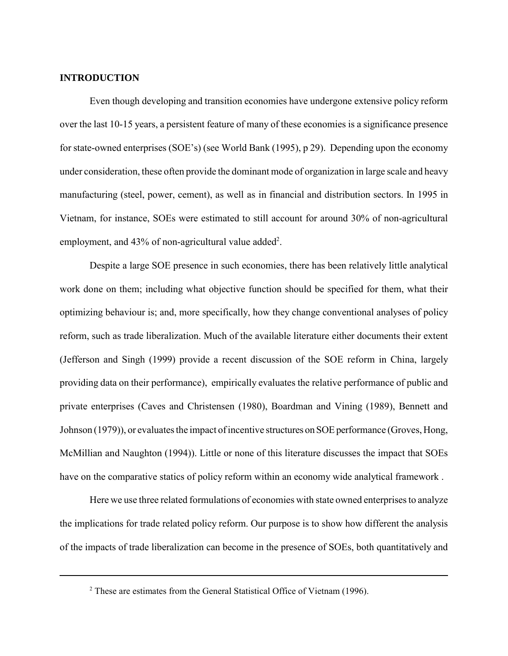### **INTRODUCTION**

Even though developing and transition economies have undergone extensive policy reform over the last 10-15 years, a persistent feature of many of these economies is a significance presence for state-owned enterprises (SOE's) (see World Bank (1995), p 29). Depending upon the economy under consideration, these often provide the dominant mode of organization in large scale and heavy manufacturing (steel, power, cement), as well as in financial and distribution sectors. In 1995 in Vietnam, for instance, SOEs were estimated to still account for around 30% of non-agricultural employment, and 43% of non-agricultural value added<sup>2</sup>.

Despite a large SOE presence in such economies, there has been relatively little analytical work done on them; including what objective function should be specified for them, what their optimizing behaviour is; and, more specifically, how they change conventional analyses of policy reform, such as trade liberalization. Much of the available literature either documents their extent (Jefferson and Singh (1999) provide a recent discussion of the SOE reform in China, largely providing data on their performance), empirically evaluates the relative performance of public and private enterprises (Caves and Christensen (1980), Boardman and Vining (1989), Bennett and Johnson (1979)), or evaluates the impact of incentive structures on SOE performance (Groves, Hong, McMillian and Naughton (1994)). Little or none of this literature discusses the impact that SOEs have on the comparative statics of policy reform within an economy wide analytical framework .

Here we use three related formulations of economies with state owned enterprises to analyze the implications for trade related policy reform. Our purpose is to show how different the analysis of the impacts of trade liberalization can become in the presence of SOEs, both quantitatively and

<sup>&</sup>lt;sup>2</sup> These are estimates from the General Statistical Office of Vietnam (1996).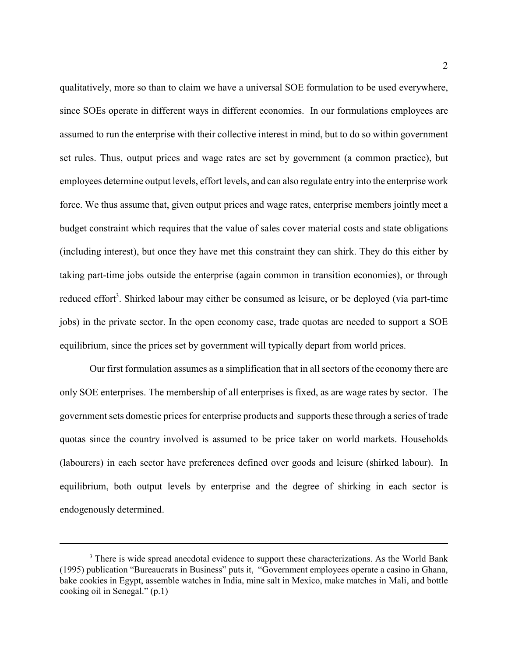qualitatively, more so than to claim we have a universal SOE formulation to be used everywhere, since SOEs operate in different ways in different economies. In our formulations employees are assumed to run the enterprise with their collective interest in mind, but to do so within government set rules. Thus, output prices and wage rates are set by government (a common practice), but employees determine output levels, effort levels, and can also regulate entry into the enterprise work force. We thus assume that, given output prices and wage rates, enterprise members jointly meet a budget constraint which requires that the value of sales cover material costs and state obligations (including interest), but once they have met this constraint they can shirk. They do this either by taking part-time jobs outside the enterprise (again common in transition economies), or through reduced effort<sup>3</sup>. Shirked labour may either be consumed as leisure, or be deployed (via part-time jobs) in the private sector. In the open economy case, trade quotas are needed to support a SOE equilibrium, since the prices set by government will typically depart from world prices.

Our first formulation assumes as a simplification that in all sectors of the economy there are only SOE enterprises. The membership of all enterprises is fixed, as are wage rates by sector. The government sets domestic prices for enterprise products and supports these through a series of trade quotas since the country involved is assumed to be price taker on world markets. Households (labourers) in each sector have preferences defined over goods and leisure (shirked labour). In equilibrium, both output levels by enterprise and the degree of shirking in each sector is endogenously determined.

<sup>&</sup>lt;sup>3</sup> There is wide spread anecdotal evidence to support these characterizations. As the World Bank (1995) publication "Bureaucrats in Business" puts it, "Government employees operate a casino in Ghana, bake cookies in Egypt, assemble watches in India, mine salt in Mexico, make matches in Mali, and bottle cooking oil in Senegal." (p.1)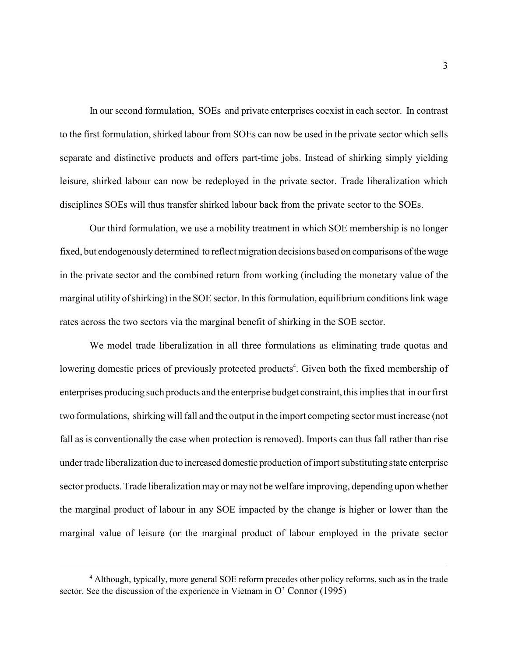In our second formulation, SOEs and private enterprises coexist in each sector. In contrast to the first formulation, shirked labour from SOEs can now be used in the private sector which sells separate and distinctive products and offers part-time jobs. Instead of shirking simply yielding leisure, shirked labour can now be redeployed in the private sector. Trade liberalization which disciplines SOEs will thus transfer shirked labour back from the private sector to the SOEs.

Our third formulation, we use a mobility treatment in which SOE membership is no longer fixed, but endogenously determined to reflect migration decisions based on comparisons of the wage in the private sector and the combined return from working (including the monetary value of the marginal utility of shirking) in the SOE sector. In this formulation, equilibrium conditions link wage rates across the two sectors via the marginal benefit of shirking in the SOE sector.

We model trade liberalization in all three formulations as eliminating trade quotas and lowering domestic prices of previously protected products<sup>4</sup>. Given both the fixed membership of enterprises producing such products and the enterprise budget constraint, this implies that in our first two formulations, shirking will fall and the output in the import competing sector must increase (not fall as is conventionally the case when protection is removed). Imports can thus fall rather than rise under trade liberalization due to increased domestic production of import substituting state enterprise sector products. Trade liberalization may or may not be welfare improving, depending upon whether the marginal product of labour in any SOE impacted by the change is higher or lower than the marginal value of leisure (or the marginal product of labour employed in the private sector

<sup>&</sup>lt;sup>4</sup> Although, typically, more general SOE reform precedes other policy reforms, such as in the trade sector. See the discussion of the experience in Vietnam in O' Connor (1995)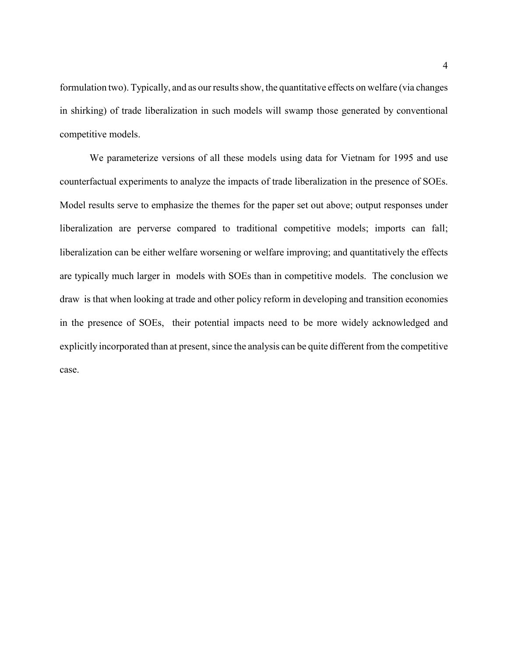formulation two). Typically, and as our results show, the quantitative effects on welfare (via changes in shirking) of trade liberalization in such models will swamp those generated by conventional competitive models.

We parameterize versions of all these models using data for Vietnam for 1995 and use counterfactual experiments to analyze the impacts of trade liberalization in the presence of SOEs. Model results serve to emphasize the themes for the paper set out above; output responses under liberalization are perverse compared to traditional competitive models; imports can fall; liberalization can be either welfare worsening or welfare improving; and quantitatively the effects are typically much larger in models with SOEs than in competitive models. The conclusion we draw is that when looking at trade and other policy reform in developing and transition economies in the presence of SOEs, their potential impacts need to be more widely acknowledged and explicitly incorporated than at present, since the analysis can be quite different from the competitive case.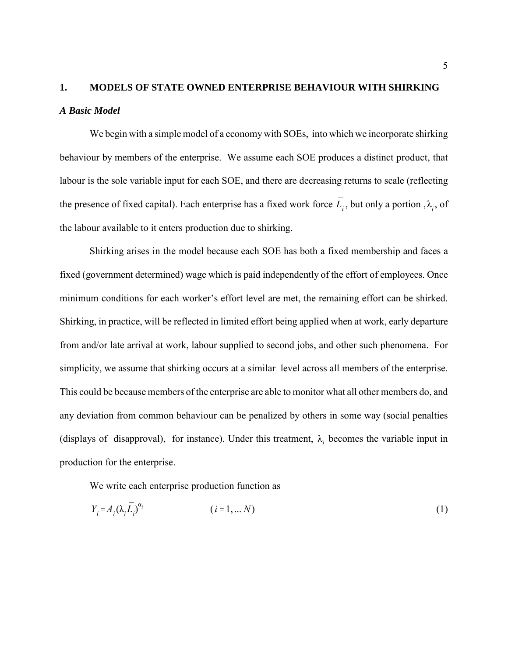# **1. MODELS OF STATE OWNED ENTERPRISE BEHAVIOUR WITH SHIRKING** *A Basic Model*

We begin with a simple model of a economy with SOEs, into which we incorporate shirking behaviour by members of the enterprise. We assume each SOE produces a distinct product, that labour is the sole variable input for each SOE, and there are decreasing returns to scale (reflecting the presence of fixed capital). Each enterprise has a fixed work force  $\overline{L}_i$ , but only a portion ,  $\lambda_i$ , of the labour available to it enters production due to shirking.

Shirking arises in the model because each SOE has both a fixed membership and faces a fixed (government determined) wage which is paid independently of the effort of employees. Once minimum conditions for each worker's effort level are met, the remaining effort can be shirked. Shirking, in practice, will be reflected in limited effort being applied when at work, early departure from and/or late arrival at work, labour supplied to second jobs, and other such phenomena. For simplicity, we assume that shirking occurs at a similar level across all members of the enterprise. This could be because members of the enterprise are able to monitor what all other members do, and any deviation from common behaviour can be penalized by others in some way (social penalties (displays of disapproval), for instance). Under this treatment,  $\lambda_i$  becomes the variable input in production for the enterprise.

We write each enterprise production function as

$$
Y_i = A_i (\lambda_i \overline{L}_i)^{\alpha_i} \tag{1}
$$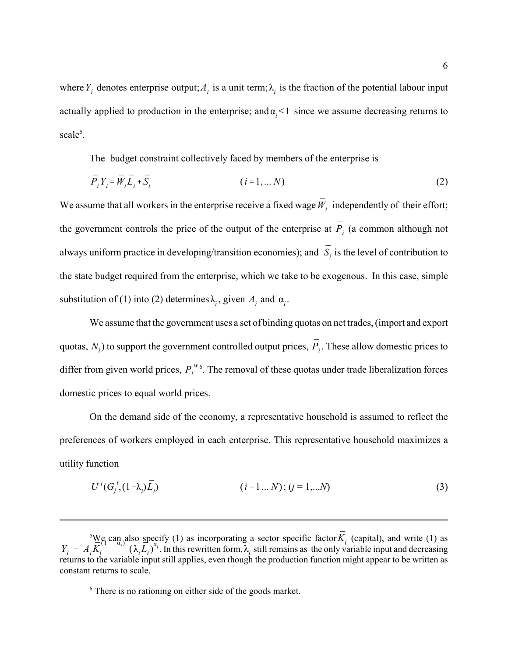where  $Y_i$  denotes enterprise output;  $A_i$  is a unit term;  $\lambda_i$  is the fraction of the potential labour input actually applied to production in the enterprise; and  $\alpha_i$  < 1 since we assume decreasing returns to scale<sup>5</sup>.

The budget constraint collectively faced by members of the enterprise is

$$
\overline{P}_i Y_i = \overline{W}_i \overline{L}_i + \overline{S}_i \tag{2}
$$

We assume that all workers in the enterprise receive a fixed wage  $\overline{W}_i$  independently of their effort; the government controls the price of the output of the enterprise at  $\overline{P}_i$  (a common although not always uniform practice in developing/transition economies); and  $\overline{S_i}$  is the level of contribution to the state budget required from the enterprise, which we take to be exogenous. In this case, simple substitution of (1) into (2) determines  $\lambda_i$ , given  $A_i$  and  $\alpha_i$ .

We assume that the government uses a set of binding quotas on net trades, (import and export quotas,  $N_i$ ) to support the government controlled output prices,  $\overline{P}_i$ . These allow domestic prices to differ from given world prices,  $P_i^{\{w_6\}}$ . The removal of these quotas under trade liberalization forces domestic prices to equal world prices.

On the demand side of the economy, a representative household is assumed to reflect the preferences of workers employed in each enterprise. This representative household maximizes a utility function

$$
U^{i}(G_{j}^{i},(1-\lambda_{i})\overline{L}_{i}) \qquad (i=1...N); (j=1,...N)
$$
 (3)

 $Y_i = A_i K_i^{(n)} \left( \lambda_i L_i \right)^{\alpha_i}$ . In this rewritten form,  $\lambda_i$  still remains as the only variable input and decreasing returns to the variable input still applies, even though the production function might appear to be written as constant returns to scale.

<sup>&</sup>lt;sup>6</sup> There is no rationing on either side of the goods market.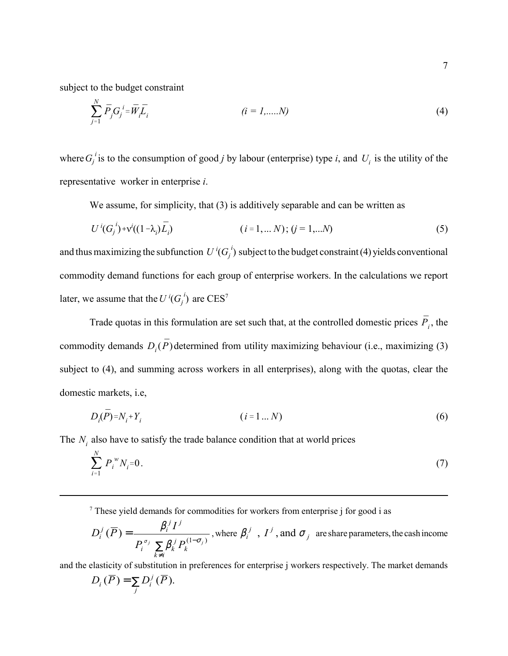subject to the budget constraint

$$
\sum_{j=1}^{N} \overline{P}_j G_j^i = \overline{W}_i \overline{L}_i \qquad (i = 1, \dots N)
$$
 (4)

where  $G_j^i$  is to the consumption of good *j* by labour (enterprise) type *i*, and  $U_i$  is the utility of the representative worker in enterprise *i*.

We assume, for simplicity, that (3) is additively separable and can be written as

$$
U^{i}(G_{j}^{i}) + v^{i}((1 - \lambda_{i})\overline{L}_{i}) \qquad (i = 1,... N); (j = 1,... N)
$$
 (5)

and thus maximizing the subfunction  $U^{i}(G^{i}_{j})$  subject to the budget constraint (4) yields conventional commodity demand functions for each group of enterprise workers. In the calculations we report later, we assume that the  $U^{i}(G_j^i)$  are CES<sup>7</sup>

Trade quotas in this formulation are set such that, at the controlled domestic prices  $\overline{P}_i$ , the commodity demands  $D_i(\overline{P})$  determined from utility maximizing behaviour (i.e., maximizing (3) subject to (4), and summing across workers in all enterprises), along with the quotas, clear the domestic markets, i.e,

$$
D_i(\overline{P}) = N_i + Y_i \tag{6}
$$

The  $N_i$  also have to satisfy the trade balance condition that at world prices

$$
\sum_{i=1}^{N} P_i^{\ w} N_i = 0. \tag{7}
$$

<sup>7</sup> These yield demands for commodities for workers from enterprise j for good i as

 $D_i^j(\overline{P}) = \frac{P_i^j}{P_i^j}$ , where  $\beta_i^j$ ,  $I^j$ , and  $\sigma_i$  are share parameters, the cash income *I*  $p_i$  (1)  $-\frac{p_j}{P_i^{(s)}}\sum \beta_k^j P_j$  $\overline{p}_1 - p_i$ *j j*  $i \in \mathcal{L}P_k$ *j*  $\sum_{k \neq i} P_k$ <sup>1</sup> k  $\overline{(\overline{P})} = \frac{p_i \cdot \overline{P}}{p_{\sigma_j} \cdot \nabla \overline{R} \cdot \overline{P}}$  $\sum \beta_k^{\ j} P_k^{(1-)}$ ≠ β  $\frac{\rho_i T^j}{\sigma_j \sum \beta_k^j P_k^{(1-\sigma_j)}}$ , where  $\beta_i^j$ ,  $I^j$ , and  $\sigma_j$ 

and the elasticity of substitution in preferences for enterprise j workers respectively. The market demands

$$
D_i(\overline{P}) = \sum_j D_i^j(\overline{P}).
$$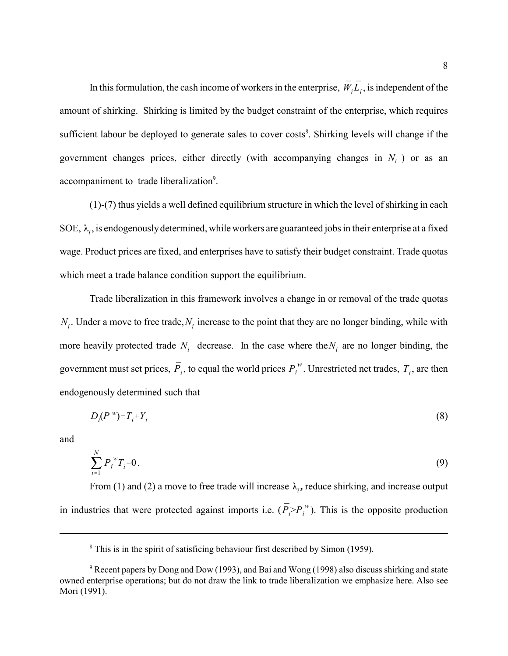In this formulation, the cash income of workers in the enterprise,  $\overline{W}_i \overline{L}_i$ , is independent of the amount of shirking. Shirking is limited by the budget constraint of the enterprise, which requires sufficient labour be deployed to generate sales to cover costs<sup>8</sup>. Shirking levels will change if the government changes prices, either directly (with accompanying changes in  $N_i$ ) or as an accompaniment to trade liberalization<sup>9</sup>.

(1)-(7) thus yields a well defined equilibrium structure in which the level of shirking in each SOE,  $\lambda_i$ , is endogenously determined, while workers are guaranteed jobs in their enterprise at a fixed wage. Product prices are fixed, and enterprises have to satisfy their budget constraint. Trade quotas which meet a trade balance condition support the equilibrium.

Trade liberalization in this framework involves a change in or removal of the trade quotas  $N_i$ . Under a move to free trade,  $N_i$  increase to the point that they are no longer binding, while with more heavily protected trade  $N_i$  decrease. In the case where the  $N_i$  are no longer binding, the government must set prices,  $\overline{P}_i$ , to equal the world prices  $P_i^w$ . Unrestricted net trades,  $T_i$ , are then endogenously determined such that

$$
D_i(P^w) = T_i + Y_i \tag{8}
$$

and

$$
\sum_{i=1}^{N} P_i^{\ w} T_i = 0 \,. \tag{9}
$$

From (1) and (2) a move to free trade will increase  $\lambda_i$ , reduce shirking, and increase output in industries that were protected against imports i.e.  $(\overline{P}_i > P_i^{\ w})$ . This is the opposite production

<sup>&</sup>lt;sup>8</sup> This is in the spirit of satisficing behaviour first described by Simon (1959).

<sup>&</sup>lt;sup>9</sup> Recent papers by Dong and Dow (1993), and Bai and Wong (1998) also discuss shirking and state owned enterprise operations; but do not draw the link to trade liberalization we emphasize here. Also see Mori (1991).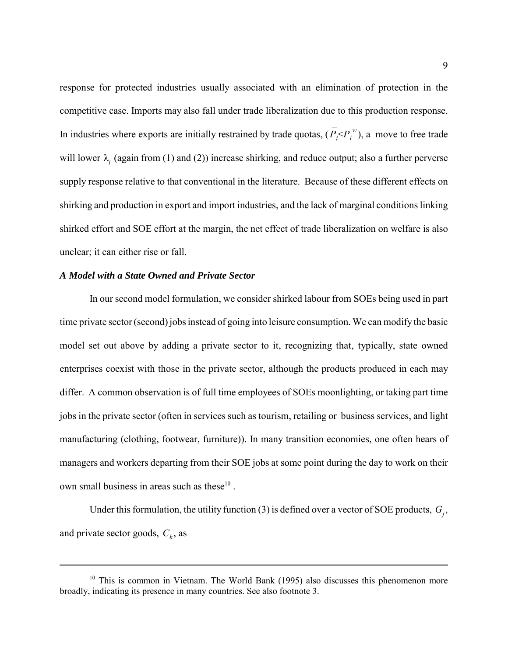response for protected industries usually associated with an elimination of protection in the competitive case. Imports may also fall under trade liberalization due to this production response. In industries where exports are initially restrained by trade quotas,  $(\overline{P}_i P_i^w)$ , a move to free trade will lower  $\lambda_i$  (again from (1) and (2)) increase shirking, and reduce output; also a further perverse supply response relative to that conventional in the literature. Because of these different effects on shirking and production in export and import industries, and the lack of marginal conditions linking shirked effort and SOE effort at the margin, the net effect of trade liberalization on welfare is also unclear; it can either rise or fall.

#### *A Model with a State Owned and Private Sector*

In our second model formulation, we consider shirked labour from SOEs being used in part time private sector (second) jobs instead of going into leisure consumption. We can modify the basic model set out above by adding a private sector to it, recognizing that, typically, state owned enterprises coexist with those in the private sector, although the products produced in each may differ. A common observation is of full time employees of SOEs moonlighting, or taking part time jobs in the private sector (often in services such as tourism, retailing or business services, and light manufacturing (clothing, footwear, furniture)). In many transition economies, one often hears of managers and workers departing from their SOE jobs at some point during the day to work on their own small business in areas such as these $10$ .

Under this formulation, the utility function (3) is defined over a vector of SOE products,  $G_i$ , and private sector goods,  $C_k$ , as

<sup>&</sup>lt;sup>10</sup> This is common in Vietnam. The World Bank (1995) also discusses this phenomenon more broadly, indicating its presence in many countries. See also footnote 3.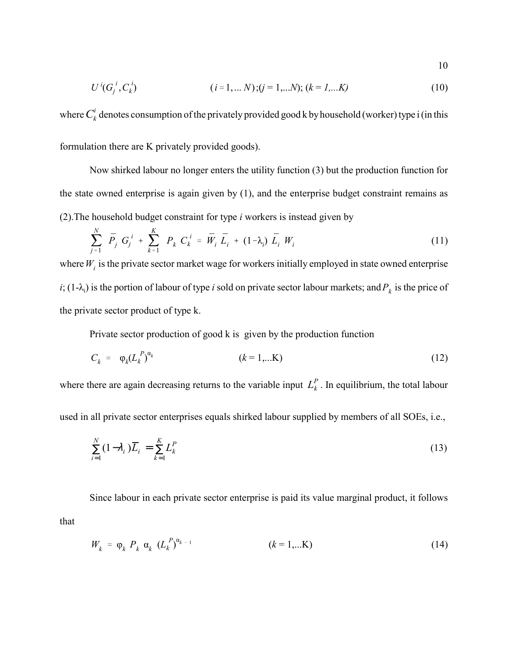$$
U^{i}(G_{j}^{i}, C_{k}^{i}) \qquad (i = 1, \dots N); (j = 1, \dots N); (k = 1, \dots K)
$$
\n(10)

where  $C_k^i$  denotes consumption of the privately provided good k by household (worker) type i (in this formulation there are K privately provided goods).

Now shirked labour no longer enters the utility function (3) but the production function for the state owned enterprise is again given by (1), and the enterprise budget constraint remains as (2).The household budget constraint for type *i* workers is instead given by

$$
\sum_{j=1}^{N} \ \overline{P}_j \ G_j^i \ + \ \sum_{k=1}^{K} \ P_k \ C_k^i \ = \ \overline{W}_i \ \overline{L}_i \ + \ (1-\lambda_i) \ \overline{L}_i \ W_i \tag{11}
$$

where  $W_i$  is the private sector market wage for workers initially employed in state owned enterprise  $i$ ; (1- $\lambda$ <sub>i</sub>) is the portion of labour of type *i* sold on private sector labour markets; and  $P_k$  is the price of the private sector product of type k.

Private sector production of good k is given by the production function

$$
C_k = \varphi_k (L_k^P)^{\alpha_k} \tag{12}
$$

where there are again decreasing returns to the variable input  $L_k^P$ . In equilibrium, the total labour

used in all private sector enterprises equals shirked labour supplied by members of all SOEs, i.e.,

$$
\sum_{i=1}^{N} (1 - \lambda_i) \overline{L}_i = \sum_{k=1}^{K} L_k^P
$$
\n(13)

Since labour in each private sector enterprise is paid its value marginal product, it follows that

$$
W_k = \varphi_k \ P_k \ \alpha_k \ (L_k^P)^{\alpha_{k-1}} \tag{14}
$$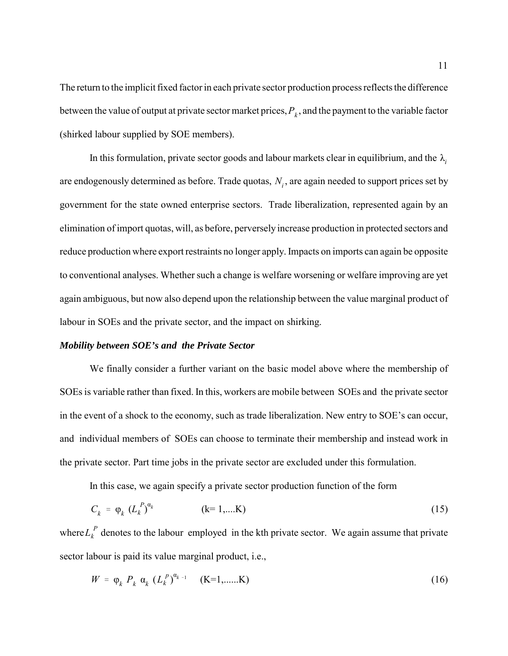The return to the implicit fixed factor in each private sector production process reflects the difference between the value of output at private sector market prices,  $P_k$ , and the payment to the variable factor (shirked labour supplied by SOE members).

In this formulation, private sector goods and labour markets clear in equilibrium, and the  $\lambda_i$ are endogenously determined as before. Trade quotas,  $N_i$ , are again needed to support prices set by government for the state owned enterprise sectors. Trade liberalization, represented again by an elimination of import quotas, will, as before, perversely increase production in protected sectors and reduce production where export restraints no longer apply. Impacts on imports can again be opposite to conventional analyses. Whether such a change is welfare worsening or welfare improving are yet again ambiguous, but now also depend upon the relationship between the value marginal product of labour in SOEs and the private sector, and the impact on shirking.

#### *Mobility between SOE's and the Private Sector*

We finally consider a further variant on the basic model above where the membership of SOEs is variable rather than fixed. In this, workers are mobile between SOEs and the private sector in the event of a shock to the economy, such as trade liberalization. New entry to SOE's can occur, and individual members of SOEs can choose to terminate their membership and instead work in the private sector. Part time jobs in the private sector are excluded under this formulation.

In this case, we again specify a private sector production function of the form

$$
C_k = \varphi_k \left( L_k^P \right)^{a_k} \qquad \qquad (k = 1, \dots K)
$$
 (15)

where  $L_k^P$  denotes to the labour employed in the kth private sector. We again assume that private sector labour is paid its value marginal product, i.e.,

$$
W = \varphi_k \ P_k \ \alpha_k \ (L_k^p)^{\alpha_{k-1}} \quad (K=1,......K)
$$
 (16)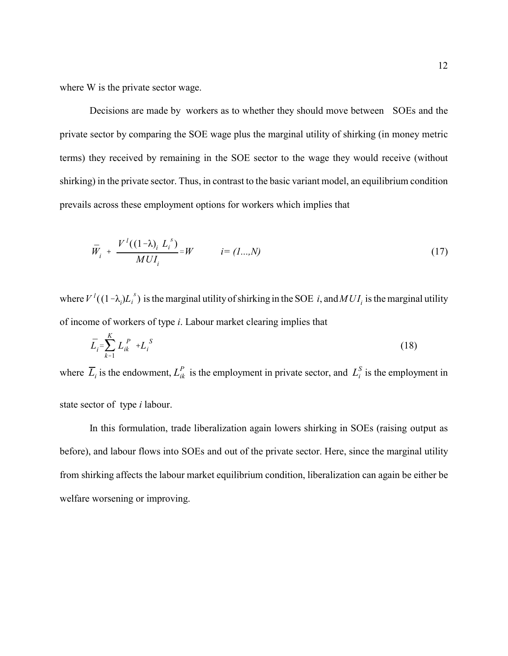where W is the private sector wage.

Decisions are made by workers as to whether they should move between SOEs and the private sector by comparing the SOE wage plus the marginal utility of shirking (in money metric terms) they received by remaining in the SOE sector to the wage they would receive (without shirking) in the private sector. Thus, in contrast to the basic variant model, an equilibrium condition prevails across these employment options for workers which implies that

$$
\bar{W}_i + \frac{V^l((1-\lambda)_i L_i^s)}{MUI_i} = W \qquad i = (1...N)
$$
\n(17)

where  $V^l((1-\lambda_i)L_i^s)$  is the marginal utility of shirking in the SOE *i*, and  $MUI_i$  is the marginal utility of income of workers of type *i*. Labour market clearing implies that

$$
\overline{L}_{i} = \sum_{k=1}^{K} L_{ik}^{P} + L_{i}^{S}
$$
\n(18)

where  $\overline{L}_i$  is the endowment,  $L_{ik}^P$  is the employment in private sector, and  $L_i^S$  is the employment in state sector of type *i* labour.

In this formulation, trade liberalization again lowers shirking in SOEs (raising output as before), and labour flows into SOEs and out of the private sector. Here, since the marginal utility from shirking affects the labour market equilibrium condition, liberalization can again be either be welfare worsening or improving.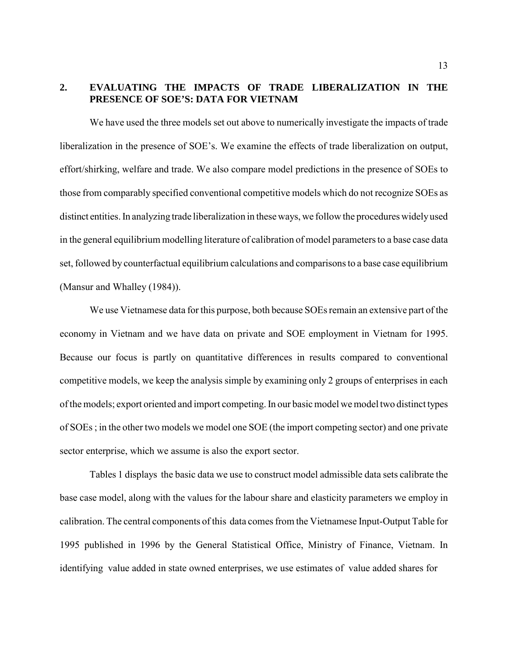## **2. EVALUATING THE IMPACTS OF TRADE LIBERALIZATION IN THE PRESENCE OF SOE'S: DATA FOR VIETNAM**

We have used the three models set out above to numerically investigate the impacts of trade liberalization in the presence of SOE's. We examine the effects of trade liberalization on output, effort/shirking, welfare and trade. We also compare model predictions in the presence of SOEs to those from comparably specified conventional competitive models which do not recognize SOEs as distinct entities. In analyzing trade liberalization in these ways, we follow the procedures widely used in the general equilibrium modelling literature of calibration of model parameters to a base case data set, followed by counterfactual equilibrium calculations and comparisons to a base case equilibrium (Mansur and Whalley (1984)).

We use Vietnamese data for this purpose, both because SOEs remain an extensive part of the economy in Vietnam and we have data on private and SOE employment in Vietnam for 1995. Because our focus is partly on quantitative differences in results compared to conventional competitive models, we keep the analysis simple by examining only 2 groups of enterprises in each of the models; export oriented and import competing. In our basic model we model two distinct types of SOEs ; in the other two models we model one SOE (the import competing sector) and one private sector enterprise, which we assume is also the export sector.

Tables 1 displays the basic data we use to construct model admissible data sets calibrate the base case model, along with the values for the labour share and elasticity parameters we employ in calibration. The central components of this data comes from the Vietnamese Input-Output Table for 1995 published in 1996 by the General Statistical Office, Ministry of Finance, Vietnam. In identifying value added in state owned enterprises, we use estimates of value added shares for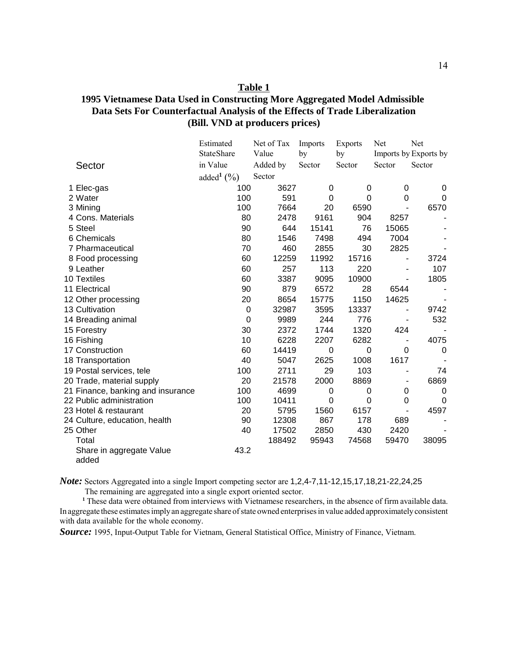#### **Table 1**

## **1995 Vietnamese Data Used in Constructing More Aggregated Model Admissible Data Sets For Counterfactual Analysis of the Effects of Trade Liberalization (Bill. VND at producers prices)**

|                                   | Estimated<br><b>StateShare</b> | Net of Tax<br>Value | Imports<br>by | <b>Exports</b><br>by | Net    | <b>Net</b><br>Imports by Exports by |
|-----------------------------------|--------------------------------|---------------------|---------------|----------------------|--------|-------------------------------------|
| Sector                            | in Value                       | Added by            | Sector        | Sector               | Sector | Sector                              |
|                                   | added <sup>1</sup> $(\%)$      | Sector              |               |                      |        |                                     |
| 1 Elec-gas                        | 100                            | 3627                | 0             | 0                    | 0      | 0                                   |
| 2 Water                           | 100                            | 591                 | 0             | $\mathbf 0$          | 0      | 0                                   |
| 3 Mining                          | 100                            | 7664                | 20            | 6590                 |        | 6570                                |
| 4 Cons. Materials                 | 80                             | 2478                | 9161          | 904                  | 8257   |                                     |
| 5 Steel                           | 90                             | 644                 | 15141         | 76                   | 15065  |                                     |
| 6 Chemicals                       | 80                             | 1546                | 7498          | 494                  | 7004   |                                     |
| 7 Pharmaceutical                  | 70                             | 460                 | 2855          | 30                   | 2825   |                                     |
| 8 Food processing                 | 60                             | 12259               | 11992         | 15716                |        | 3724                                |
| 9 Leather                         | 60                             | 257                 | 113           | 220                  |        | 107                                 |
| 10 Textiles                       | 60                             | 3387                | 9095          | 10900                |        | 1805                                |
| 11 Electrical                     | 90                             | 879                 | 6572          | 28                   | 6544   |                                     |
| 12 Other processing               | 20                             | 8654                | 15775         | 1150                 | 14625  |                                     |
| <b>13 Cultivation</b>             | $\Omega$                       | 32987               | 3595          | 13337                |        | 9742                                |
| 14 Breading animal                | 0                              | 9989                | 244           | 776                  |        | 532                                 |
| 15 Forestry                       | 30                             | 2372                | 1744          | 1320                 | 424    |                                     |
| 16 Fishing                        | 10                             | 6228                | 2207          | 6282                 |        | 4075                                |
| 17 Construction                   | 60                             | 14419               | $\Omega$      | $\Omega$             | 0      | 0                                   |
| 18 Transportation                 | 40                             | 5047                | 2625          | 1008                 | 1617   |                                     |
| 19 Postal services, tele          | 100                            | 2711                | 29            | 103                  |        | 74                                  |
| 20 Trade, material supply         | 20                             | 21578               | 2000          | 8869                 |        | 6869                                |
| 21 Finance, banking and insurance | 100                            | 4699                | 0             | 0                    | 0      | 0                                   |
| 22 Public administration          | 100                            | 10411               | 0             | 0                    | 0      | 0                                   |
| 23 Hotel & restaurant             | 20                             | 5795                | 1560          | 6157                 |        | 4597                                |
| 24 Culture, education, health     | 90                             | 12308               | 867           | 178                  | 689    |                                     |
| 25 Other                          | 40                             | 17502               | 2850          | 430                  | 2420   |                                     |
| Total                             |                                | 188492              | 95943         | 74568                | 59470  | 38095                               |
| Share in aggregate Value<br>added | 43.2                           |                     |               |                      |        |                                     |

*Note:* Sectors Aggregated into a single Import competing sector are 1,2,4-7,11-12,15,17,18,21-22,24,25

The remaining are aggregated into a single export oriented sector.

<sup>1</sup> These data were obtained from interviews with Vietnamese researchers, in the absence of firm available data. In aggregate these estimates imply an aggregate share of state owned enterprises in value added approximately consistent with data available for the whole economy.

*Source:* 1995, Input-Output Table for Vietnam, General Statistical Office, Ministry of Finance, Vietnam.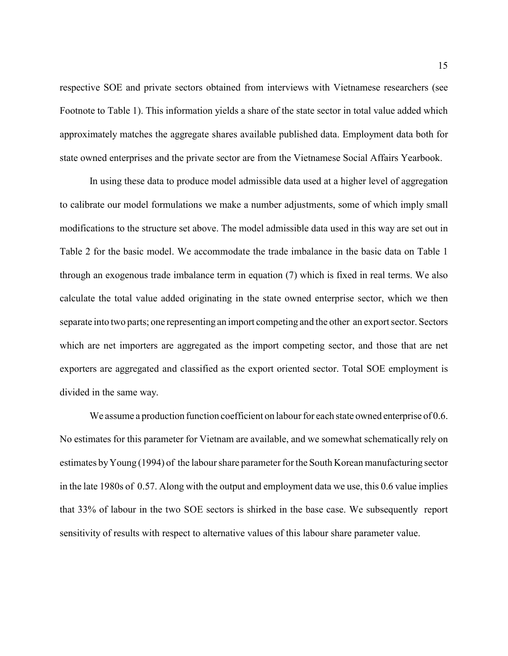respective SOE and private sectors obtained from interviews with Vietnamese researchers (see Footnote to Table 1). This information yields a share of the state sector in total value added which approximately matches the aggregate shares available published data. Employment data both for state owned enterprises and the private sector are from the Vietnamese Social Affairs Yearbook.

In using these data to produce model admissible data used at a higher level of aggregation to calibrate our model formulations we make a number adjustments, some of which imply small modifications to the structure set above. The model admissible data used in this way are set out in Table 2 for the basic model. We accommodate the trade imbalance in the basic data on Table 1 through an exogenous trade imbalance term in equation (7) which is fixed in real terms. We also calculate the total value added originating in the state owned enterprise sector, which we then separate into two parts; one representing an import competing and the other an export sector. Sectors which are net importers are aggregated as the import competing sector, and those that are net exporters are aggregated and classified as the export oriented sector. Total SOE employment is divided in the same way.

We assume a production function coefficient on labour for each state owned enterprise of 0.6. No estimates for this parameter for Vietnam are available, and we somewhat schematically rely on estimates by Young (1994) of the labour share parameter for the South Korean manufacturing sector in the late 1980s of 0.57. Along with the output and employment data we use, this 0.6 value implies that 33% of labour in the two SOE sectors is shirked in the base case. We subsequently report sensitivity of results with respect to alternative values of this labour share parameter value.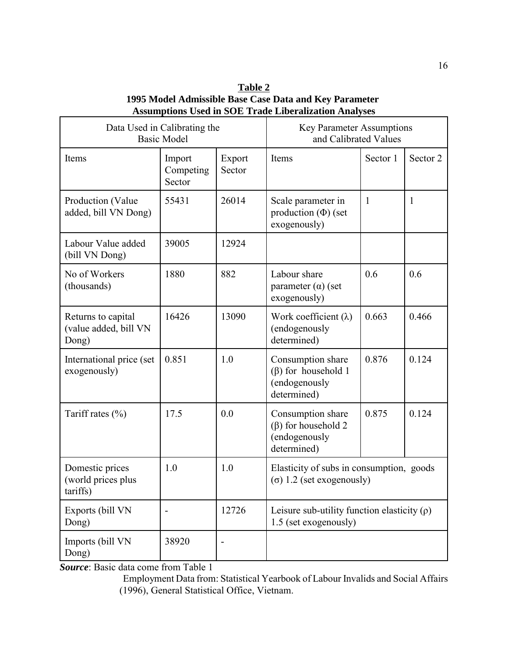**Table 2 1995 Model Admissible Base Case Data and Key Parameter Assumptions Used in SOE Trade Liberalization Analyses**

| Data Used in Calibrating the<br><b>Basic Model</b>   |                               | <b>Key Parameter Assumptions</b><br>and Calibrated Values |                                                                                         |              |              |
|------------------------------------------------------|-------------------------------|-----------------------------------------------------------|-----------------------------------------------------------------------------------------|--------------|--------------|
| Items                                                | Import<br>Competing<br>Sector | Export<br>Sector                                          | Items                                                                                   | Sector 1     | Sector 2     |
| Production (Value<br>added, bill VN Dong)            | 55431                         | 26014                                                     | Scale parameter in<br>production $(\Phi)$ (set<br>exogenously)                          | $\mathbf{1}$ | $\mathbf{1}$ |
| Labour Value added<br>(bill VN Dong)                 | 39005                         | 12924                                                     |                                                                                         |              |              |
| No of Workers<br>(thousands)                         | 1880                          | 882                                                       | Labour share<br>parameter $(\alpha)$ (set<br>exogenously)                               | 0.6          | 0.6          |
| Returns to capital<br>(value added, bill VN<br>Dong) | 16426                         | 13090                                                     | Work coefficient $(\lambda)$<br>(endogenously<br>determined)                            | 0.663        | 0.466        |
| International price (set<br>exogenously)             | 0.851                         | 1.0                                                       | 0.876<br>Consumption share<br>$(\beta)$ for household 1<br>(endogenously<br>determined) |              | 0.124        |
| Tariff rates $(\% )$                                 | 17.5                          | 0.0                                                       | 0.875<br>Consumption share<br>(β) for household 2<br>(endogenously<br>determined)       |              | 0.124        |
| Domestic prices<br>(world prices plus<br>tariffs)    | 1.0                           | 1.0                                                       | Elasticity of subs in consumption, goods<br>$(σ) 1.2$ (set exogenously)                 |              |              |
| Exports (bill VN<br>Dong)                            |                               | 12726                                                     | Leisure sub-utility function elasticity $(\rho)$<br>1.5 (set exogenously)               |              |              |
| Imports (bill VN<br>Dong)                            | 38920                         |                                                           |                                                                                         |              |              |

*Source*: Basic data come from Table 1

 Employment Data from: Statistical Yearbook of Labour Invalids and Social Affairs (1996), General Statistical Office, Vietnam.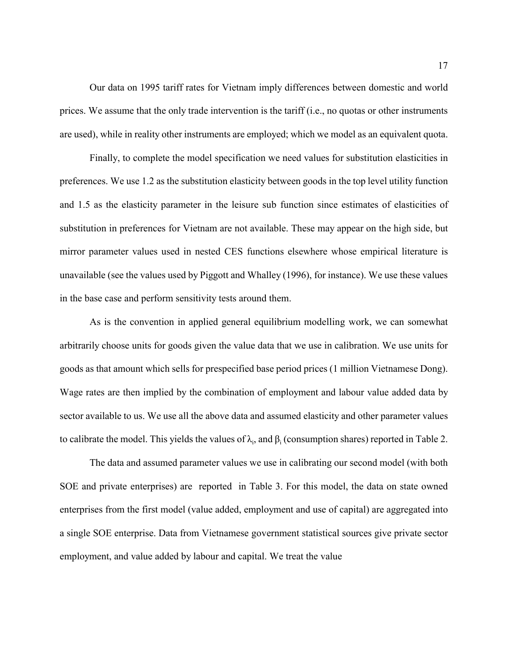Our data on 1995 tariff rates for Vietnam imply differences between domestic and world prices. We assume that the only trade intervention is the tariff (i.e., no quotas or other instruments are used), while in reality other instruments are employed; which we model as an equivalent quota.

Finally, to complete the model specification we need values for substitution elasticities in preferences. We use 1.2 as the substitution elasticity between goods in the top level utility function and 1.5 as the elasticity parameter in the leisure sub function since estimates of elasticities of substitution in preferences for Vietnam are not available. These may appear on the high side, but mirror parameter values used in nested CES functions elsewhere whose empirical literature is unavailable (see the values used by Piggott and Whalley (1996), for instance). We use these values in the base case and perform sensitivity tests around them.

As is the convention in applied general equilibrium modelling work, we can somewhat arbitrarily choose units for goods given the value data that we use in calibration. We use units for goods as that amount which sells for prespecified base period prices (1 million Vietnamese Dong). Wage rates are then implied by the combination of employment and labour value added data by sector available to us. We use all the above data and assumed elasticity and other parameter values to calibrate the model. This yields the values of  $\lambda_i$ , and  $\beta_i$  (consumption shares) reported in Table 2.

The data and assumed parameter values we use in calibrating our second model (with both SOE and private enterprises) are reported in Table 3. For this model, the data on state owned enterprises from the first model (value added, employment and use of capital) are aggregated into a single SOE enterprise. Data from Vietnamese government statistical sources give private sector employment, and value added by labour and capital. We treat the value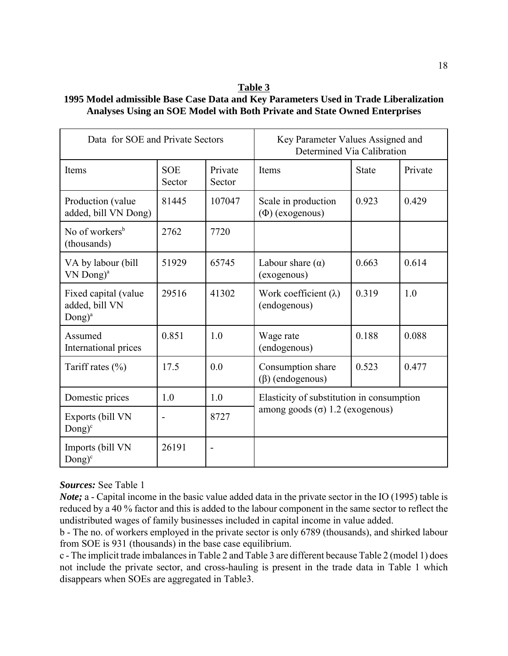## **Table 3 1995 Model admissible Base Case Data and Key Parameters Used in Trade Liberalization Analyses Using an SOE Model with Both Private and State Owned Enterprises**

| Data for SOE and Private Sectors                    |                      | Key Parameter Values Assigned and<br>Determined Via Calibration |                                                                                     |              |         |
|-----------------------------------------------------|----------------------|-----------------------------------------------------------------|-------------------------------------------------------------------------------------|--------------|---------|
| Items                                               | <b>SOE</b><br>Sector | Private<br>Sector                                               | Items                                                                               | <b>State</b> | Private |
| Production (value<br>added, bill VN Dong)           | 81445                | 107047                                                          | Scale in production<br>$(\Phi)$ (exogenous)                                         | 0.923        | 0.429   |
| No of workers <sup>b</sup><br>(thousands)           | 2762                 | 7720                                                            |                                                                                     |              |         |
| VA by labour (bill<br>$VN$ Dong) <sup>a</sup>       | 51929                | 65745                                                           | Labour share $(\alpha)$<br>(exogenous)                                              | 0.663        | 0.614   |
| Fixed capital (value<br>added, bill VN<br>$Dong)^a$ | 29516                | 41302                                                           | 0.319<br>Work coefficient $(\lambda)$<br>(endogenous)                               |              | 1.0     |
| Assumed<br>International prices                     | 0.851                | 1.0                                                             | 0.188<br>Wage rate<br>(endogenous)                                                  |              | 0.088   |
| Tariff rates $(\% )$                                | 17.5                 | 0.0                                                             | 0.523<br>Consumption share<br>$(\beta)$ (endogenous)                                |              | 0.477   |
| Domestic prices                                     | 1.0                  | 1.0                                                             | Elasticity of substitution in consumption<br>among goods $(\sigma)$ 1.2 (exogenous) |              |         |
| Exports (bill VN<br>$Dong)^c$                       |                      | 8727                                                            |                                                                                     |              |         |
| Imports (bill VN<br>$Dong)^c$                       | 26191                |                                                                 |                                                                                     |              |         |

## *Sources:* See Table 1

*Note*; a - Capital income in the basic value added data in the private sector in the IO (1995) table is reduced by a 40 % factor and this is added to the labour component in the same sector to reflect the undistributed wages of family businesses included in capital income in value added.

b - The no. of workers employed in the private sector is only 6789 (thousands), and shirked labour from SOE is 931 (thousands) in the base case equilibrium.

c - The implicit trade imbalances in Table 2 and Table 3 are different because Table 2 (model 1) does not include the private sector, and cross-hauling is present in the trade data in Table 1 which disappears when SOEs are aggregated in Table3.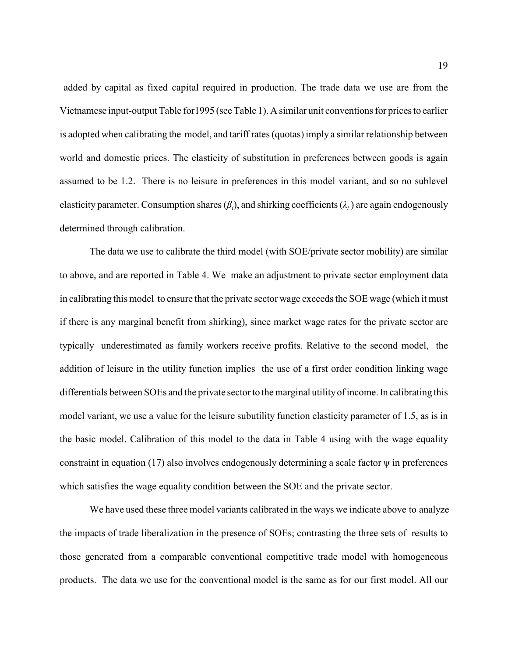added by capital as fixed capital required in production. The trade data we use are from the Vietnamese input-output Table for1995 (see Table 1). A similar unit conventions for prices to earlier is adopted when calibrating the model, and tariff rates (quotas) imply a similar relationship between world and domestic prices. The elasticity of substitution in preferences between goods is again assumed to be 1.2. There is no leisure in preferences in this model variant, and so no sublevel elasticity parameter. Consumption shares  $(\beta_i)$ , and shirking coefficients  $(\lambda_i)$  are again endogenously determined through calibration.

The data we use to calibrate the third model (with SOE/private sector mobility) are similar to above, and are reported in Table 4. We make an adjustment to private sector employment data in calibrating this model to ensure that the private sector wage exceeds the SOE wage (which it must if there is any marginal benefit from shirking), since market wage rates for the private sector are typically underestimated as family workers receive profits. Relative to the second model, the addition of leisure in the utility function implies the use of a first order condition linking wage differentials between SOEs and the private sector to the marginal utility of income. In calibrating this model variant, we use a value for the leisure subutility function elasticity parameter of 1.5, as is in the basic model. Calibration of this model to the data in Table 4 using with the wage equality constraint in equation (17) also involves endogenously determining a scale factor  $\psi$  in preferences which satisfies the wage equality condition between the SOE and the private sector.

 We have used these three model variants calibrated in the ways we indicate above to analyze the impacts of trade liberalization in the presence of SOEs; contrasting the three sets of results to those generated from a comparable conventional competitive trade model with homogeneous products. The data we use for the conventional model is the same as for our first model. All our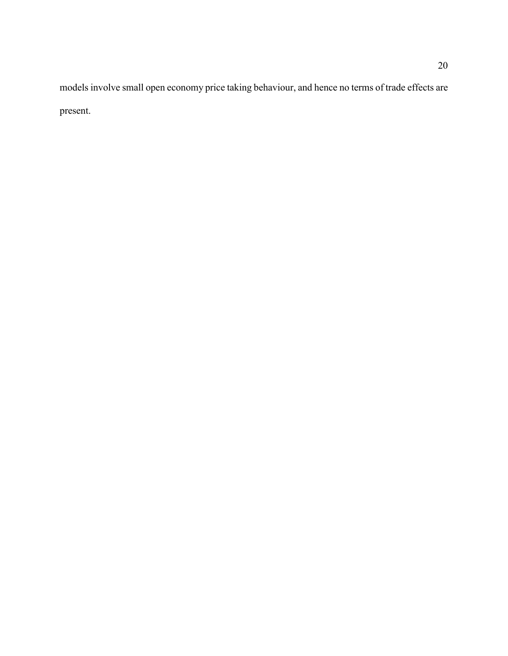models involve small open economy price taking behaviour, and hence no terms of trade effects are present.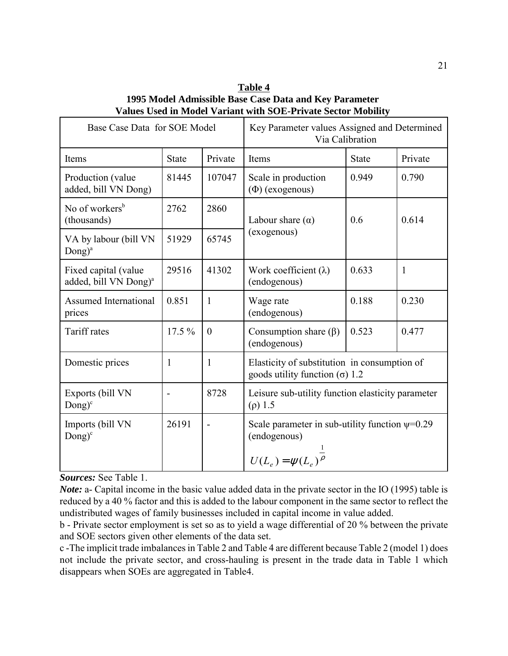**Table 4 1995 Model Admissible Base Case Data and Key Parameter Values Used in Model Variant with SOE-Private Sector Mobility**

| Base Case Data for SOE Model                              |                | Key Parameter values Assigned and Determined<br>Via Calibration |                                                                                                               |              |              |
|-----------------------------------------------------------|----------------|-----------------------------------------------------------------|---------------------------------------------------------------------------------------------------------------|--------------|--------------|
| Items                                                     | <b>State</b>   | Private                                                         | Items                                                                                                         | <b>State</b> | Private      |
| Production (value<br>added, bill VN Dong)                 | 81445          | 107047                                                          | Scale in production<br>$(\Phi)$ (exogenous)                                                                   | 0.949        | 0.790        |
| No of workers <sup>b</sup><br>(thousands)                 | 2762           | 2860                                                            | Labour share $(\alpha)$                                                                                       | 0.6          | 0.614        |
| VA by labour (bill VN<br>$Dong)^a$                        | 51929          | 65745                                                           | (exogenous)                                                                                                   |              |              |
| Fixed capital (value<br>added, bill VN Dong) <sup>a</sup> | 29516          | 41302                                                           | Work coefficient $(\lambda)$<br>(endogenous)                                                                  | 0.633        | $\mathbf{1}$ |
| <b>Assumed International</b><br>prices                    | 0.851          | $\mathbf{1}$                                                    | Wage rate<br>(endogenous)                                                                                     | 0.188        | 0.230        |
| Tariff rates                                              | $17.5\%$       | $\theta$                                                        | 0.523<br>Consumption share $(\beta)$<br>(endogenous)                                                          |              | 0.477        |
| Domestic prices                                           | 1              | 1                                                               | Elasticity of substitution in consumption of<br>goods utility function ( $\sigma$ ) 1.2                       |              |              |
| Exports (bill VN<br>$Dong)^c$                             | $\blacksquare$ | 8728                                                            | Leisure sub-utility function elasticity parameter<br>$(\rho)$ 1.5                                             |              |              |
| Imports (bill VN<br>$Dong)^c$                             | 26191          |                                                                 | Scale parameter in sub-utility function $\psi$ =0.29<br>(endogenous)<br>$U(L_e) = \psi(L_e)^{\frac{1}{\rho}}$ |              |              |

*Sources:* See Table 1.

*Note*: a- Capital income in the basic value added data in the private sector in the IO (1995) table is reduced by a 40 % factor and this is added to the labour component in the same sector to reflect the undistributed wages of family businesses included in capital income in value added.

b - Private sector employment is set so as to yield a wage differential of 20 % between the private and SOE sectors given other elements of the data set.

c -The implicit trade imbalances in Table 2 and Table 4 are different because Table 2 (model 1) does not include the private sector, and cross-hauling is present in the trade data in Table 1 which disappears when SOEs are aggregated in Table4.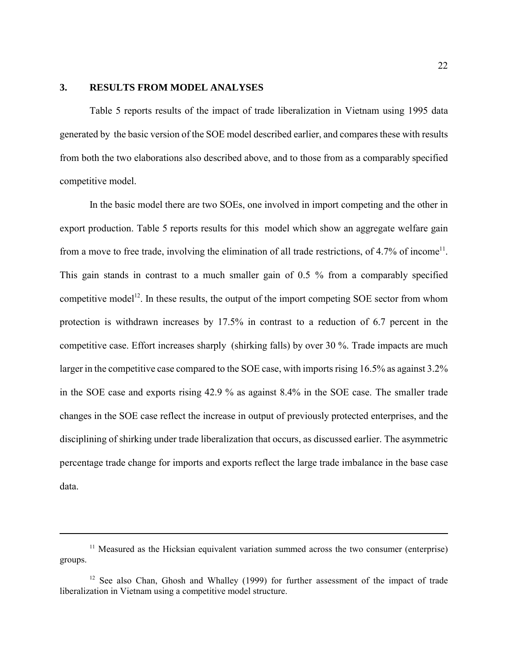#### **3. RESULTS FROM MODEL ANALYSES**

Table 5 reports results of the impact of trade liberalization in Vietnam using 1995 data generated by the basic version of the SOE model described earlier, and compares these with results from both the two elaborations also described above, and to those from as a comparably specified competitive model.

In the basic model there are two SOEs, one involved in import competing and the other in export production. Table 5 reports results for this model which show an aggregate welfare gain from a move to free trade, involving the elimination of all trade restrictions, of  $4.7\%$  of income<sup>11</sup>. This gain stands in contrast to a much smaller gain of 0.5 % from a comparably specified competitive model<sup>12</sup>. In these results, the output of the import competing SOE sector from whom protection is withdrawn increases by 17.5% in contrast to a reduction of 6.7 percent in the competitive case. Effort increases sharply (shirking falls) by over 30 %. Trade impacts are much larger in the competitive case compared to the SOE case, with imports rising 16.5% as against 3.2% in the SOE case and exports rising 42.9 % as against 8.4% in the SOE case. The smaller trade changes in the SOE case reflect the increase in output of previously protected enterprises, and the disciplining of shirking under trade liberalization that occurs, as discussed earlier. The asymmetric percentage trade change for imports and exports reflect the large trade imbalance in the base case data.

<sup>&</sup>lt;sup>11</sup> Measured as the Hicksian equivalent variation summed across the two consumer (enterprise) groups.

 $12$  See also Chan, Ghosh and Whalley (1999) for further assessment of the impact of trade liberalization in Vietnam using a competitive model structure.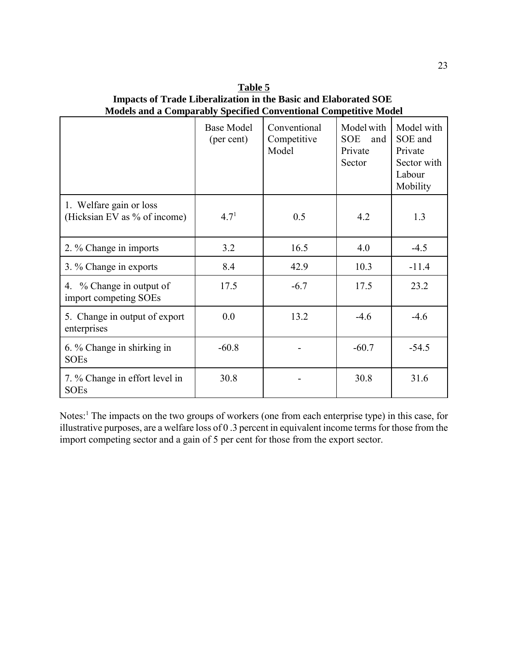**Table 5 Impacts of Trade Liberalization in the Basic and Elaborated SOE Models and a Comparably Specified Conventional Competitive Model**

|                                                         | <b>Base Model</b><br>(per cent) | Conventional<br>Competitive<br>Model | Model with<br>SOE<br>and<br>Private<br>Sector | Model with<br>SOE and<br>Private<br>Sector with<br>Labour<br>Mobility |
|---------------------------------------------------------|---------------------------------|--------------------------------------|-----------------------------------------------|-----------------------------------------------------------------------|
| 1. Welfare gain or loss<br>(Hicksian EV as % of income) | $4.7^{1}$                       | 0.5                                  | 4.2                                           | 1.3                                                                   |
| 2. % Change in imports                                  | 3.2                             | 16.5                                 | 4.0                                           | $-4.5$                                                                |
| 3. % Change in exports                                  | 8.4                             | 42.9                                 | 10.3                                          | $-11.4$                                                               |
| 4. % Change in output of<br>import competing SOEs       | 17.5                            | $-6.7$                               | 17.5                                          | 23.2                                                                  |
| 5. Change in output of export<br>enterprises            | 0.0                             | 13.2                                 | $-4.6$                                        | $-4.6$                                                                |
| 6. % Change in shirking in<br><b>SOEs</b>               | $-60.8$                         |                                      | $-60.7$                                       | $-54.5$                                                               |
| 7. % Change in effort level in<br><b>SOEs</b>           | 30.8                            |                                      | 30.8                                          | 31.6                                                                  |

Notes:<sup>1</sup> The impacts on the two groups of workers (one from each enterprise type) in this case, for illustrative purposes, are a welfare loss of 0 .3 percent in equivalent income terms for those from the import competing sector and a gain of 5 per cent for those from the export sector.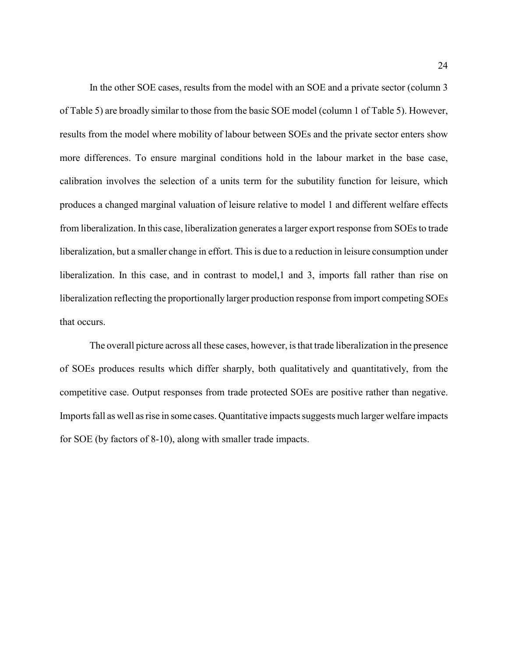In the other SOE cases, results from the model with an SOE and a private sector (column 3 of Table 5) are broadly similar to those from the basic SOE model (column 1 of Table 5). However, results from the model where mobility of labour between SOEs and the private sector enters show more differences. To ensure marginal conditions hold in the labour market in the base case, calibration involves the selection of a units term for the subutility function for leisure, which produces a changed marginal valuation of leisure relative to model 1 and different welfare effects from liberalization. In this case, liberalization generates a larger export response from SOEs to trade liberalization, but a smaller change in effort. This is due to a reduction in leisure consumption under liberalization. In this case, and in contrast to model, 1 and 3, imports fall rather than rise on liberalization reflecting the proportionally larger production response from import competing SOEs that occurs.

The overall picture across all these cases, however, is that trade liberalization in the presence of SOEs produces results which differ sharply, both qualitatively and quantitatively, from the competitive case. Output responses from trade protected SOEs are positive rather than negative. Imports fall as well as rise in some cases. Quantitative impacts suggests much larger welfare impacts for SOE (by factors of 8-10), along with smaller trade impacts.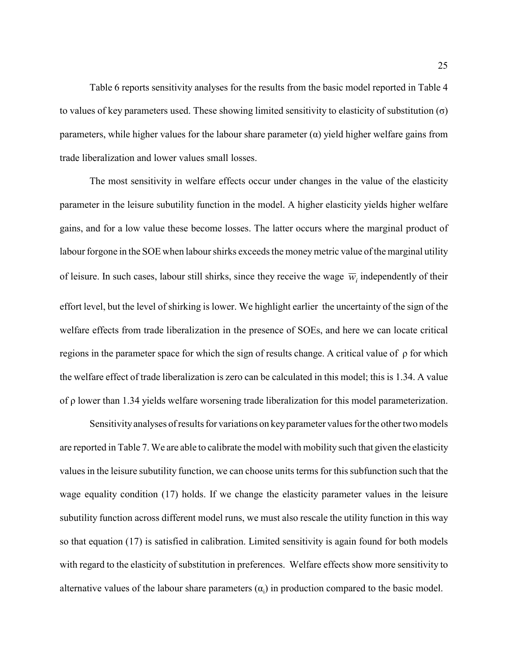Table 6 reports sensitivity analyses for the results from the basic model reported in Table 4 to values of key parameters used. These showing limited sensitivity to elasticity of substitution  $(\sigma)$ parameters, while higher values for the labour share parameter  $(\alpha)$  yield higher welfare gains from trade liberalization and lower values small losses.

The most sensitivity in welfare effects occur under changes in the value of the elasticity parameter in the leisure subutility function in the model. A higher elasticity yields higher welfare gains, and for a low value these become losses. The latter occurs where the marginal product of labour forgone in the SOE when labour shirks exceeds the money metric value of the marginal utility of leisure. In such cases, labour still shirks, since they receive the wage  $\overline{w}_i$  independently of their effort level, but the level of shirking is lower. We highlight earlier the uncertainty of the sign of the welfare effects from trade liberalization in the presence of SOEs, and here we can locate critical regions in the parameter space for which the sign of results change. A critical value of ρ for which the welfare effect of trade liberalization is zero can be calculated in this model; this is 1.34. A value of ρ lower than 1.34 yields welfare worsening trade liberalization for this model parameterization.

Sensitivity analyses of results for variations on key parameter values for the other two models are reported in Table 7. We are able to calibrate the model with mobility such that given the elasticity values in the leisure subutility function, we can choose units terms for this subfunction such that the wage equality condition (17) holds. If we change the elasticity parameter values in the leisure subutility function across different model runs, we must also rescale the utility function in this way so that equation (17) is satisfied in calibration. Limited sensitivity is again found for both models with regard to the elasticity of substitution in preferences. Welfare effects show more sensitivity to alternative values of the labour share parameters  $(\alpha_i)$  in production compared to the basic model.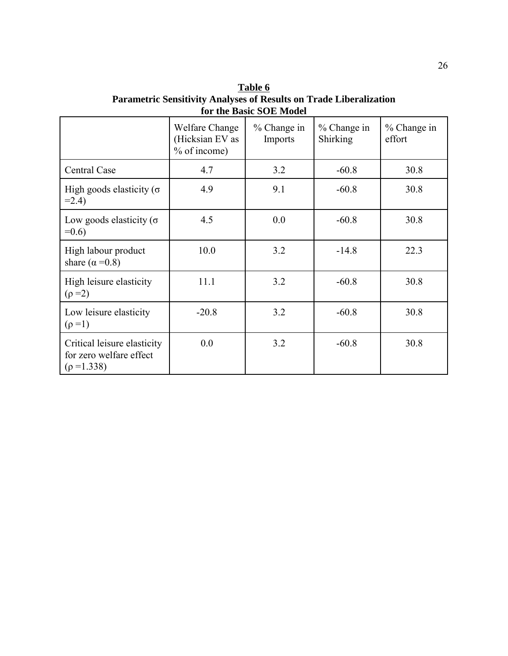**Table 6 Parametric Sensitivity Analyses of Results on Trade Liberalization for the Basic SOE Model**

|                                                                       | <b>Welfare Change</b><br>(Hicksian EV as<br>$%$ of income) | % Change in<br>Imports | % Change in<br><b>Shirking</b> | % Change in<br>effort |
|-----------------------------------------------------------------------|------------------------------------------------------------|------------------------|--------------------------------|-----------------------|
| Central Case                                                          | 4.7                                                        | 3.2                    | $-60.8$                        | 30.8                  |
| High goods elasticity ( $\sigma$<br>$=2.4$                            | 4.9                                                        | 9.1                    | $-60.8$                        | 30.8                  |
| Low goods elasticity ( $\sigma$<br>$=0.6$                             | 4.5                                                        | 0.0                    | $-60.8$                        | 30.8                  |
| High labour product<br>share $(\alpha = 0.8)$                         | 10.0                                                       | 3.2                    | $-14.8$                        | 22.3                  |
| High leisure elasticity<br>$(p = 2)$                                  | 11.1                                                       | 3.2                    | $-60.8$                        | 30.8                  |
| Low leisure elasticity<br>$(\rho = 1)$                                | $-20.8$                                                    | 3.2                    | $-60.8$                        | 30.8                  |
| Critical leisure elasticity<br>for zero welfare effect<br>$(p=1.338)$ | 0.0                                                        | 3.2                    | $-60.8$                        | 30.8                  |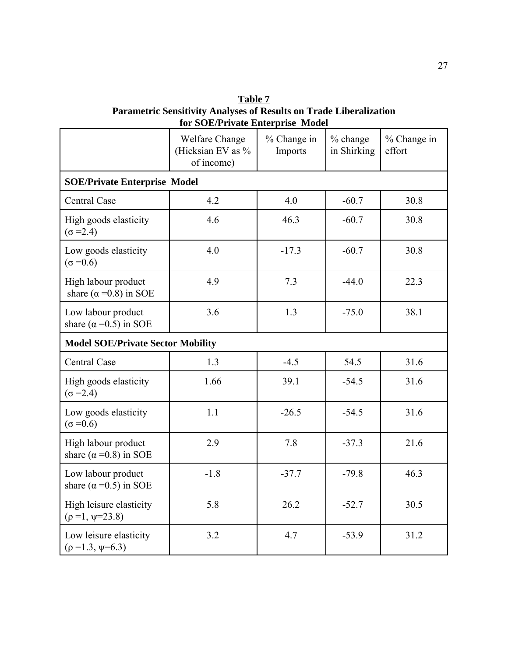| Table 7                                                                   |  |  |  |  |
|---------------------------------------------------------------------------|--|--|--|--|
| <b>Parametric Sensitivity Analyses of Results on Trade Liberalization</b> |  |  |  |  |
| for SOE/Private Enterprise Model                                          |  |  |  |  |

|                                                      | <b>Welfare Change</b><br>(Hicksian EV as %<br>of income) | % Change in<br>Imports | $%$ change<br>in Shirking | % Change in<br>effort |  |  |  |  |
|------------------------------------------------------|----------------------------------------------------------|------------------------|---------------------------|-----------------------|--|--|--|--|
|                                                      | <b>SOE/Private Enterprise Model</b>                      |                        |                           |                       |  |  |  |  |
| <b>Central Case</b>                                  | 4.2                                                      | 4.0                    | $-60.7$                   | 30.8                  |  |  |  |  |
| High goods elasticity<br>$(\sigma = 2.4)$            | 4.6                                                      | 46.3                   | $-60.7$                   | 30.8                  |  |  |  |  |
| Low goods elasticity<br>$(\sigma = 0.6)$             | 4.0                                                      | $-17.3$                | $-60.7$                   | 30.8                  |  |  |  |  |
| High labour product<br>share ( $\alpha$ =0.8) in SOE | 4.9                                                      | 7.3                    | $-44.0$                   | 22.3                  |  |  |  |  |
| Low labour product<br>share $(\alpha = 0.5)$ in SOE  | 3.6                                                      | 1.3                    | $-75.0$                   | 38.1                  |  |  |  |  |
| <b>Model SOE/Private Sector Mobility</b>             |                                                          |                        |                           |                       |  |  |  |  |
| Central Case                                         | 1.3                                                      | $-4.5$                 | 54.5                      | 31.6                  |  |  |  |  |
| High goods elasticity<br>$(\sigma = 2.4)$            | 1.66                                                     | 39.1                   | $-54.5$                   | 31.6                  |  |  |  |  |
| Low goods elasticity<br>$(\sigma = 0.6)$             | 1.1                                                      | $-26.5$                | $-54.5$                   | 31.6                  |  |  |  |  |
| High labour product<br>share ( $\alpha$ =0.8) in SOE | 2.9                                                      | 7.8                    | $-37.3$                   | 21.6                  |  |  |  |  |
| Low labour product<br>share $(\alpha = 0.5)$ in SOE  | $-1.8$                                                   | $-37.7$                | $-79.8$                   | 46.3                  |  |  |  |  |
| High leisure elasticity<br>$(p=1, \psi=23.8)$        | 5.8                                                      | 26.2                   | $-52.7$                   | 30.5                  |  |  |  |  |
| Low leisure elasticity<br>$(p=1.3, \psi=6.3)$        | 3.2                                                      | 4.7                    | $-53.9$                   | 31.2                  |  |  |  |  |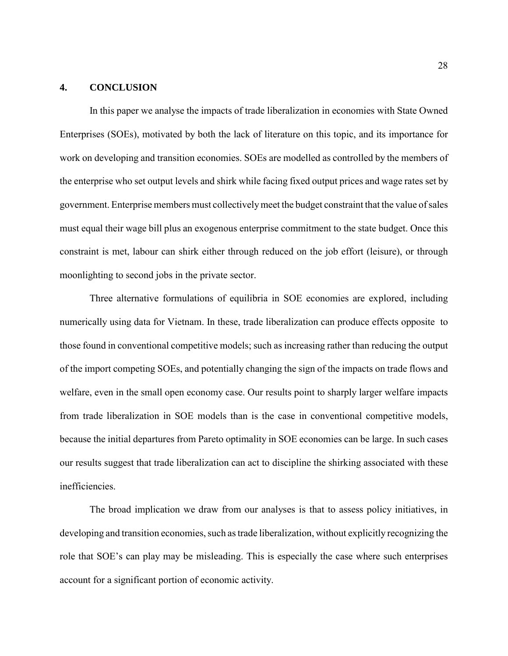## **4. CONCLUSION**

In this paper we analyse the impacts of trade liberalization in economies with State Owned Enterprises (SOEs), motivated by both the lack of literature on this topic, and its importance for work on developing and transition economies. SOEs are modelled as controlled by the members of the enterprise who set output levels and shirk while facing fixed output prices and wage rates set by government. Enterprise members must collectively meet the budget constraint that the value of sales must equal their wage bill plus an exogenous enterprise commitment to the state budget. Once this constraint is met, labour can shirk either through reduced on the job effort (leisure), or through moonlighting to second jobs in the private sector.

Three alternative formulations of equilibria in SOE economies are explored, including numerically using data for Vietnam. In these, trade liberalization can produce effects opposite to those found in conventional competitive models; such as increasing rather than reducing the output of the import competing SOEs, and potentially changing the sign of the impacts on trade flows and welfare, even in the small open economy case. Our results point to sharply larger welfare impacts from trade liberalization in SOE models than is the case in conventional competitive models, because the initial departures from Pareto optimality in SOE economies can be large. In such cases our results suggest that trade liberalization can act to discipline the shirking associated with these inefficiencies.

The broad implication we draw from our analyses is that to assess policy initiatives, in developing and transition economies, such as trade liberalization, without explicitly recognizing the role that SOE's can play may be misleading. This is especially the case where such enterprises account for a significant portion of economic activity.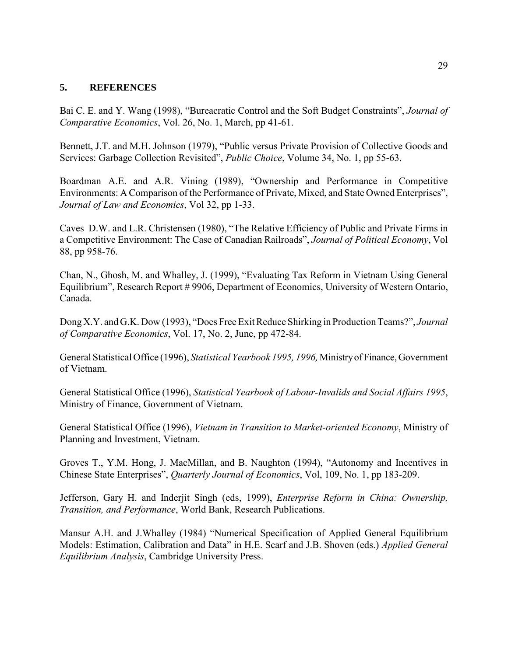## **5. REFERENCES**

Bai C. E. and Y. Wang (1998), "Bureacratic Control and the Soft Budget Constraints", *Journal of Comparative Economics*, Vol. 26, No. 1, March, pp 41-61.

Bennett, J.T. and M.H. Johnson (1979), "Public versus Private Provision of Collective Goods and Services: Garbage Collection Revisited", *Public Choice*, Volume 34, No. 1, pp 55-63.

Boardman A.E. and A.R. Vining (1989), "Ownership and Performance in Competitive Environments: A Comparison of the Performance of Private, Mixed, and State Owned Enterprises", *Journal of Law and Economics*, Vol 32, pp 1-33.

Caves D.W. and L.R. Christensen (1980), "The Relative Efficiency of Public and Private Firms in a Competitive Environment: The Case of Canadian Railroads", *Journal of Political Economy*, Vol 88, pp 958-76.

Chan, N., Ghosh, M. and Whalley, J. (1999), "Evaluating Tax Reform in Vietnam Using General Equilibrium", Research Report # 9906, Department of Economics, University of Western Ontario, Canada.

Dong X.Y. and G.K. Dow (1993), "Does Free Exit Reduce Shirking in Production Teams?", *Journal of Comparative Economics*, Vol. 17, No. 2, June, pp 472-84.

General Statistical Office (1996), *Statistical Yearbook 1995, 1996,* Ministry of Finance, Government of Vietnam.

General Statistical Office (1996), *Statistical Yearbook of Labour-Invalids and Social Affairs 1995*, Ministry of Finance, Government of Vietnam.

General Statistical Office (1996), *Vietnam in Transition to Market-oriented Economy*, Ministry of Planning and Investment, Vietnam.

Groves T., Y.M. Hong, J. MacMillan, and B. Naughton (1994), "Autonomy and Incentives in Chinese State Enterprises", *Quarterly Journal of Economics*, Vol, 109, No. 1, pp 183-209.

Jefferson, Gary H. and Inderjit Singh (eds, 1999), *Enterprise Reform in China: Ownership, Transition, and Performance*, World Bank, Research Publications.

Mansur A.H. and J.Whalley (1984) "Numerical Specification of Applied General Equilibrium Models: Estimation, Calibration and Data" in H.E. Scarf and J.B. Shoven (eds.) *Applied General Equilibrium Analysis*, Cambridge University Press.